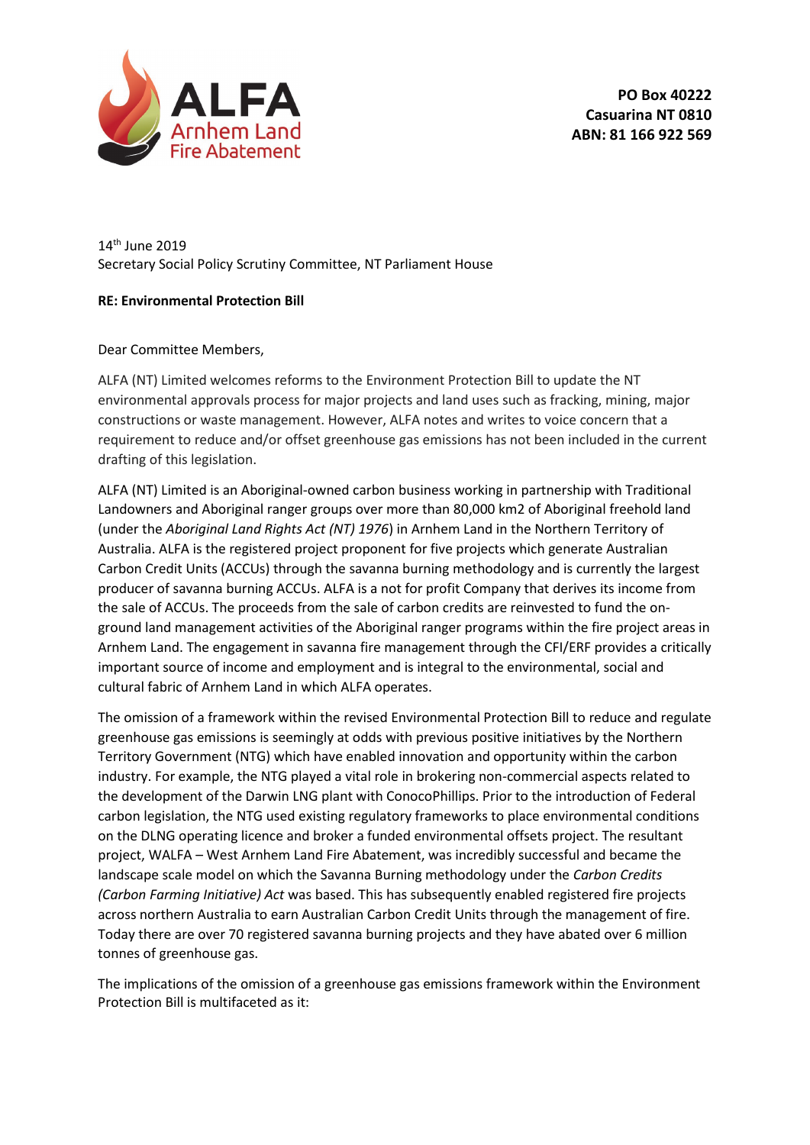

14th June 2019 Secretary Social Policy Scrutiny Committee, NT Parliament House

## **RE: Environmental Protection Bill**

## Dear Committee Members,

ALFA (NT) Limited welcomes reforms to the Environment Protection Bill to update the NT environmental approvals process for major projects and land uses such as fracking, mining, major constructions or waste management. However, ALFA notes and writes to voice concern that a requirement to reduce and/or offset greenhouse gas emissions has not been included in the current drafting of this legislation.

ALFA (NT) Limited is an Aboriginal-owned carbon business working in partnership with Traditional Landowners and Aboriginal ranger groups over more than 80,000 km2 of Aboriginal freehold land (under the *Aboriginal Land Rights Act (NT) 1976*) in Arnhem Land in the Northern Territory of Australia. ALFA is the registered project proponent for five projects which generate Australian Carbon Credit Units (ACCUs) through the savanna burning methodology and is currently the largest producer of savanna burning ACCUs. ALFA is a not for profit Company that derives its income from the sale of ACCUs. The proceeds from the sale of carbon credits are reinvested to fund the onground land management activities of the Aboriginal ranger programs within the fire project areas in Arnhem Land. The engagement in savanna fire management through the CFI/ERF provides a critically important source of income and employment and is integral to the environmental, social and cultural fabric of Arnhem Land in which ALFA operates.

The omission of a framework within the revised Environmental Protection Bill to reduce and regulate greenhouse gas emissions is seemingly at odds with previous positive initiatives by the Northern Territory Government (NTG) which have enabled innovation and opportunity within the carbon industry. For example, the NTG played a vital role in brokering non-commercial aspects related to the development of the Darwin LNG plant with ConocoPhillips. Prior to the introduction of Federal carbon legislation, the NTG used existing regulatory frameworks to place environmental conditions on the DLNG operating licence and broker a funded environmental offsets project. The resultant project, WALFA – West Arnhem Land Fire Abatement, was incredibly successful and became the landscape scale model on which the Savanna Burning methodology under the *Carbon Credits (Carbon Farming Initiative) Act* was based. This has subsequently enabled registered fire projects across northern Australia to earn Australian Carbon Credit Units through the management of fire. Today there are over 70 registered savanna burning projects and they have abated over 6 million tonnes of greenhouse gas.

The implications of the omission of a greenhouse gas emissions framework within the Environment Protection Bill is multifaceted as it: